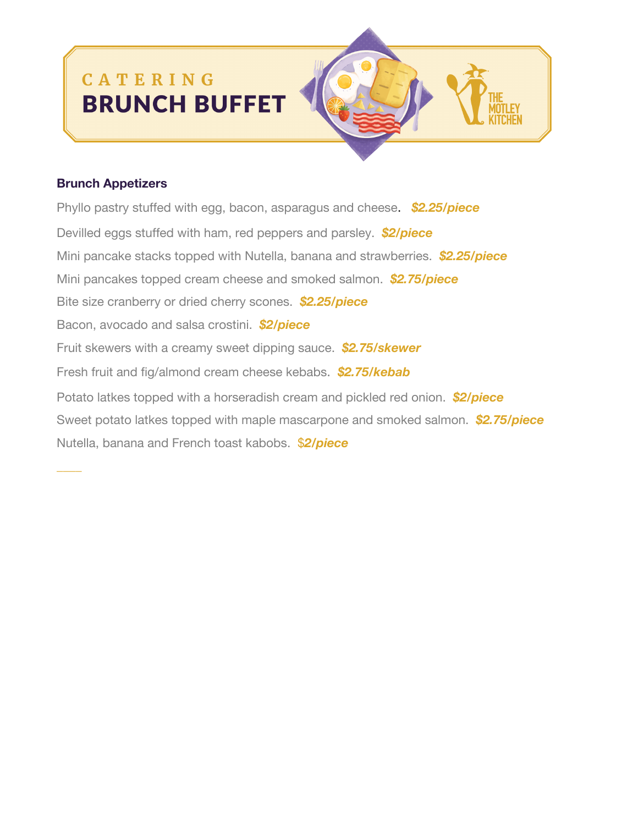## CATERING **BRUNCH BUFFET**

## **Brunch Appetizers**

*\_\_\_\_*

Phyllo pastry stuffed with egg, bacon, asparagus and cheese. *\$2.25/piece* Devilled eggs stuffed with ham, red peppers and parsley. *\$2/piece* Mini pancake stacks topped with Nutella, banana and strawberries. *\$2.25/piece*  Mini pancakes topped cream cheese and smoked salmon. *\$2.75/piece* Bite size cranberry or dried cherry scones. *\$2.25/piece*  Bacon, avocado and salsa crostini. *\$2/piece* Fruit skewers with a creamy sweet dipping sauce. *\$2.75/skewer* Fresh fruit and fig/almond cream cheese kebabs. *\$2.75/kebab* Potato latkes topped with a horseradish cream and pickled red onion. *\$2/piece*  Sweet potato latkes topped with maple mascarpone and smoked salmon. *\$2.75/piece* Nutella, banana and French toast kabobs. \$*2/piece*